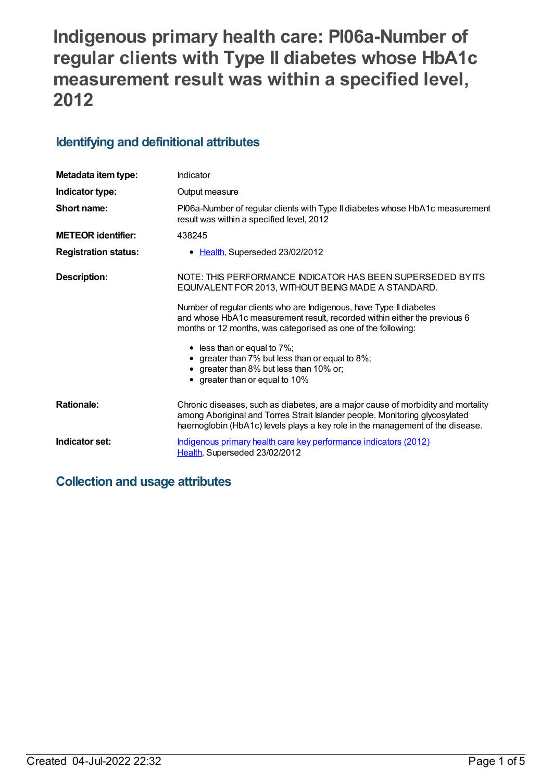# **Indigenous primary health care: PI06a-Number of regular clients with Type II diabetes whose HbA1c measurement result was within a specified level, 2012**

## **Identifying and definitional attributes**

| Metadata item type:         | Indicator                                                                                                                                                                                                                                        |
|-----------------------------|--------------------------------------------------------------------------------------------------------------------------------------------------------------------------------------------------------------------------------------------------|
| Indicator type:             | Output measure                                                                                                                                                                                                                                   |
| Short name:                 | PI06a-Number of regular clients with Type II diabetes whose HbA1c measurement<br>result was within a specified level, 2012                                                                                                                       |
| <b>METEOR identifier:</b>   | 438245                                                                                                                                                                                                                                           |
| <b>Registration status:</b> | • Health, Superseded 23/02/2012                                                                                                                                                                                                                  |
| <b>Description:</b>         | NOTE: THIS PERFORMANCE INDICATOR HAS BEEN SUPERSEDED BY ITS<br>EQUIVALENT FOR 2013, WITHOUT BEING MADE A STANDARD.                                                                                                                               |
|                             | Number of regular clients who are Indigenous, have Type II diabetes<br>and whose HbA1c measurement result, recorded within either the previous 6<br>months or 12 months, was categorised as one of the following:                                |
|                             | $\bullet$ less than or equal to 7%;<br>• greater than 7% but less than or equal to 8%;<br>• greater than 8% but less than 10% or;<br>• greater than or equal to 10%                                                                              |
| <b>Rationale:</b>           | Chronic diseases, such as diabetes, are a major cause of morbidity and mortality<br>among Aboriginal and Torres Strait Islander people. Monitoring glycosylated<br>haemoglobin (HbA1c) levels plays a key role in the management of the disease. |
| Indicator set:              | Indigenous primary health care key performance indicators (2012)<br>Health, Superseded 23/02/2012                                                                                                                                                |

### **Collection and usage attributes**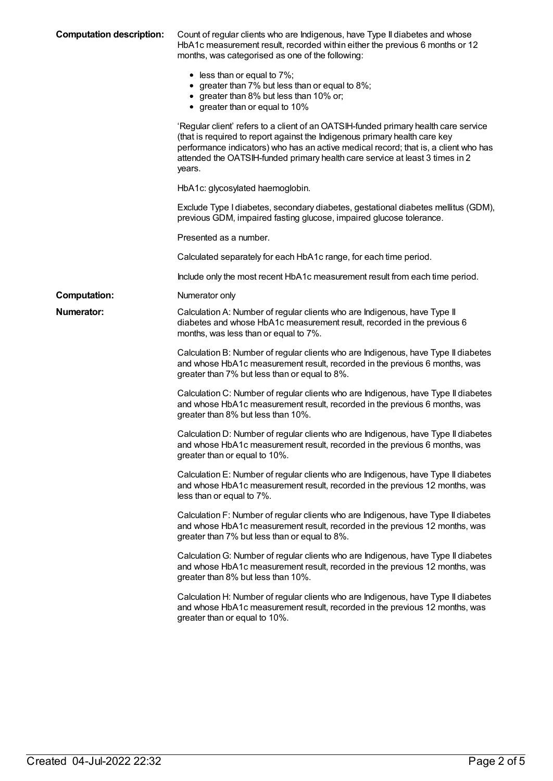| <b>Computation description:</b> | Count of regular clients who are Indigenous, have Type II diabetes and whose<br>HbA1c measurement result, recorded within either the previous 6 months or 12<br>months, was categorised as one of the following:                                                                                                                                   |
|---------------------------------|----------------------------------------------------------------------------------------------------------------------------------------------------------------------------------------------------------------------------------------------------------------------------------------------------------------------------------------------------|
|                                 | $\bullet$ less than or equal to 7%;<br>• greater than 7% but less than or equal to 8%;<br>• greater than 8% but less than 10% or;<br>• greater than or equal to 10%                                                                                                                                                                                |
|                                 | 'Regular client' refers to a client of an OATSIH-funded primary health care service<br>(that is required to report against the Indigenous primary health care key<br>performance indicators) who has an active medical record; that is, a client who has<br>attended the OATSIH-funded primary health care service at least 3 times in 2<br>years. |
|                                 | HbA1c: glycosylated haemoglobin.                                                                                                                                                                                                                                                                                                                   |
|                                 | Exclude Type I diabetes, secondary diabetes, gestational diabetes mellitus (GDM),<br>previous GDM, impaired fasting glucose, impaired glucose tolerance.                                                                                                                                                                                           |
|                                 | Presented as a number.                                                                                                                                                                                                                                                                                                                             |
|                                 | Calculated separately for each HbA1c range, for each time period.                                                                                                                                                                                                                                                                                  |
|                                 | Include only the most recent HbA1c measurement result from each time period.                                                                                                                                                                                                                                                                       |
| <b>Computation:</b>             | Numerator only                                                                                                                                                                                                                                                                                                                                     |
| <b>Numerator:</b>               | Calculation A: Number of regular clients who are Indigenous, have Type II<br>diabetes and whose HbA1c measurement result, recorded in the previous 6<br>months, was less than or equal to 7%.                                                                                                                                                      |
|                                 | Calculation B: Number of regular clients who are Indigenous, have Type II diabetes<br>and whose HbA1c measurement result, recorded in the previous 6 months, was<br>greater than 7% but less than or equal to 8%.                                                                                                                                  |
|                                 | Calculation C: Number of regular clients who are Indigenous, have Type II diabetes<br>and whose HbA1c measurement result, recorded in the previous 6 months, was<br>greater than 8% but less than 10%.                                                                                                                                             |
|                                 | Calculation D: Number of regular clients who are Indigenous, have Type II diabetes<br>and whose HbA1c measurement result, recorded in the previous 6 months, was<br>greater than or equal to 10%.                                                                                                                                                  |
|                                 | Calculation E: Number of regular clients who are Indigenous, have Type II diabetes<br>and whose HbA1c measurement result, recorded in the previous 12 months, was<br>less than or equal to 7%.                                                                                                                                                     |
|                                 | Calculation F: Number of regular clients who are Indigenous, have Type II diabetes<br>and whose HbA1c measurement result, recorded in the previous 12 months, was<br>greater than 7% but less than or equal to 8%.                                                                                                                                 |
|                                 | Calculation G: Number of regular clients who are Indigenous, have Type II diabetes<br>and whose HbA1c measurement result, recorded in the previous 12 months, was<br>greater than 8% but less than 10%.                                                                                                                                            |
|                                 | Calculation H: Number of regular clients who are Indigenous, have Type II diabetes<br>and whose HbA1c measurement result, recorded in the previous 12 months, was<br>greater than or equal to 10%.                                                                                                                                                 |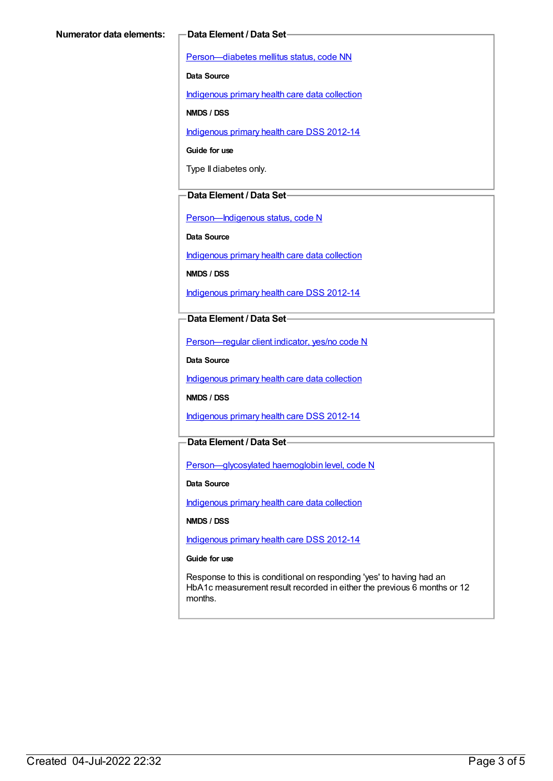[Person—diabetes](https://meteor.aihw.gov.au/content/270194) mellitus status, code NN

**Data Source**

[Indigenous](https://meteor.aihw.gov.au/content/430643) primary health care data collection

**NMDS / DSS**

[Indigenous](https://meteor.aihw.gov.au/content/430629) primary health care DSS 2012-14

**Guide for use**

Type II diabetes only.

#### **Data Element / Data Set**

[Person—Indigenous](https://meteor.aihw.gov.au/content/291036) status, code N

**Data Source**

[Indigenous](https://meteor.aihw.gov.au/content/430643) primary health care data collection

**NMDS / DSS**

[Indigenous](https://meteor.aihw.gov.au/content/430629) primary health care DSS 2012-14

**Data Element / Data Set**

[Person—regular](https://meteor.aihw.gov.au/content/436639) client indicator, yes/no code N

**Data Source**

[Indigenous](https://meteor.aihw.gov.au/content/430643) primary health care data collection

**NMDS / DSS**

[Indigenous](https://meteor.aihw.gov.au/content/430629) primary health care DSS 2012-14

#### **Data Element / Data Set**

[Person—glycosylated](https://meteor.aihw.gov.au/content/443631) haemoglobin level, code N

**Data Source**

[Indigenous](https://meteor.aihw.gov.au/content/430643) primary health care data collection

**NMDS / DSS**

[Indigenous](https://meteor.aihw.gov.au/content/430629) primary health care DSS 2012-14

**Guide for use**

Response to this is conditional on responding 'yes' to having had an HbA1c measurement result recorded in either the previous 6 months or 12 months.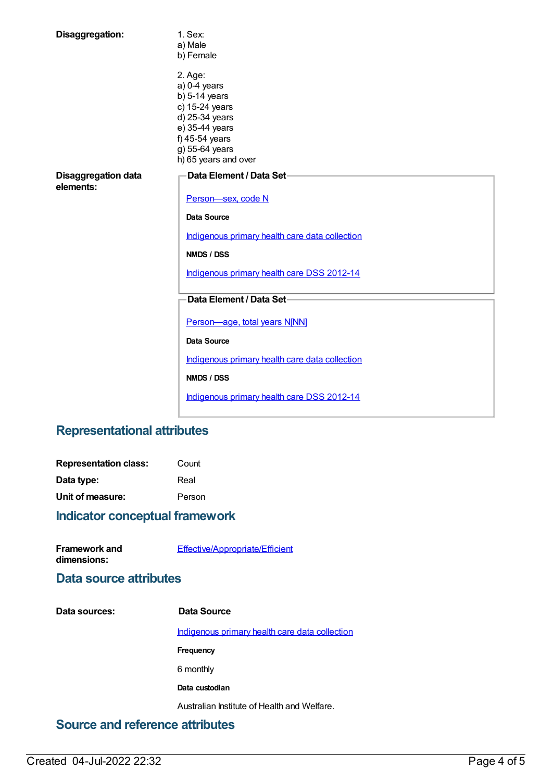| Disaggregation:                         | 1. Sex:<br>a) Male<br>b) Female                                                                                                                                |
|-----------------------------------------|----------------------------------------------------------------------------------------------------------------------------------------------------------------|
|                                         | 2. Age:<br>$a)$ 0-4 years<br>$b)$ 5-14 years<br>c) 15-24 years<br>d) 25-34 years<br>e) 35-44 years<br>f) 45-54 years<br>g) 55-64 years<br>h) 65 years and over |
| <b>Disaggregation data</b><br>elements: | Data Element / Data Set-<br>Person-sex, code N                                                                                                                 |
|                                         | Data Source                                                                                                                                                    |
|                                         | Indigenous primary health care data collection                                                                                                                 |
|                                         | NMDS / DSS                                                                                                                                                     |
|                                         | Indigenous primary health care DSS 2012-14                                                                                                                     |
|                                         | Data Element / Data Set-                                                                                                                                       |
|                                         | Person-age, total years N[NN]                                                                                                                                  |
|                                         | Data Source                                                                                                                                                    |
|                                         | Indigenous primary health care data collection                                                                                                                 |
|                                         | NMDS / DSS                                                                                                                                                     |
|                                         | Indigenous primary health care DSS 2012-14                                                                                                                     |

# **Representational attributes**

| <b>Representation class:</b> | Count  |
|------------------------------|--------|
| Data type:                   | Real   |
| Unit of measure:             | Person |

# **Indicator conceptual framework**

| <b>Framework and</b> | Effective/Appropriate/Efficient |
|----------------------|---------------------------------|
| dimensions:          |                                 |

## **Data source attributes**

| Indigenous primary health care data collection |
|------------------------------------------------|
|                                                |
|                                                |
|                                                |
|                                                |
|                                                |

# **Source and reference attributes**